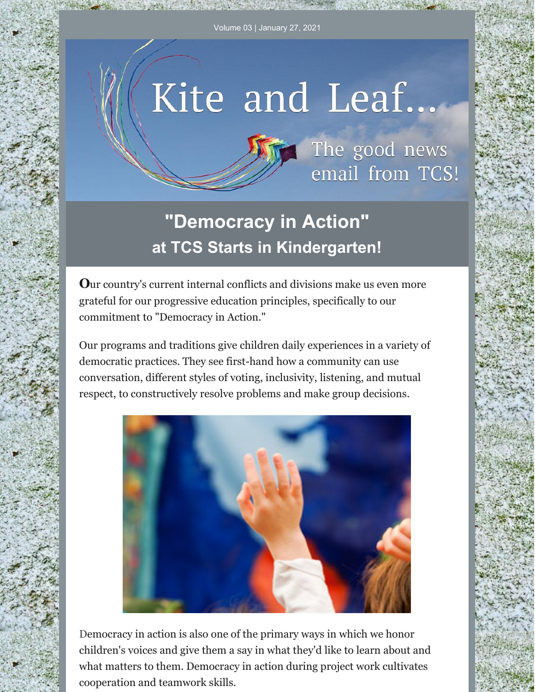## Kite and Leaf...



## **"Democracy in Action" at TCS Starts in Kindergarten!**

**O**ur country's current internal conflicts and divisions make us even more grateful for our progressive education principles, specifically to our commitment to "Democracy in Action."

Our programs and traditions give children daily experiences in a variety of democratic practices. They see first-hand how a community can use conversation, different styles of voting, inclusivity, listening, and mutual respect, to constructively resolve problems and make group decisions.



Democracy in action is also one of the primary ways in which we honor children's voices and give them a say in what they'd like to learn about and what matters to them. Democracy in action during project work cultivates cooperation and teamwork skills.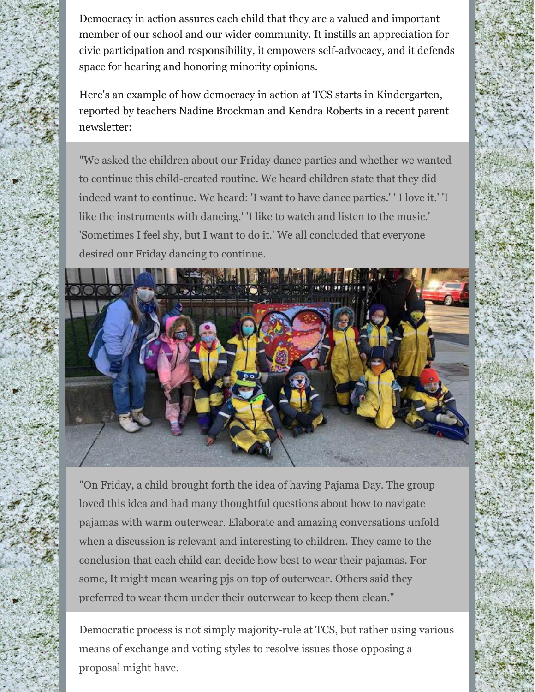Democracy in action assures each child that they are a valued and important member of our school and our wider community. It instills an appreciation for civic participation and responsibility, it empowers self-advocacy, and it defends space for hearing and honoring minority opinions.

Here's an example of how democracy in action at TCS starts in Kindergarten, reported by teachers Nadine Brockman and Kendra Roberts in a recent parent newsletter:

"We asked the children about our Friday dance parties and whether we wanted to continue this child-created routine. We heard children state that they did indeed want to continue. We heard: 'I want to have dance parties.' ' I love it.' 'I like the instruments with dancing.' 'I like to watch and listen to the music.' 'Sometimes I feel shy, but I want to do it.' We all concluded that everyone desired our Friday dancing to continue.



"On Friday, a child brought forth the idea of having Pajama Day. The group loved this idea and had many thoughtful questions about how to navigate pajamas with warm outerwear. Elaborate and amazing conversations unfold when a discussion is relevant and interesting to children. They came to the conclusion that each child can decide how best to wear their pajamas. For some, It might mean wearing pjs on top of outerwear. Others said they preferred to wear them under their outerwear to keep them clean."

Democratic process is not simply majority-rule at TCS, but rather using various means of exchange and voting styles to resolve issues those opposing a proposal might have.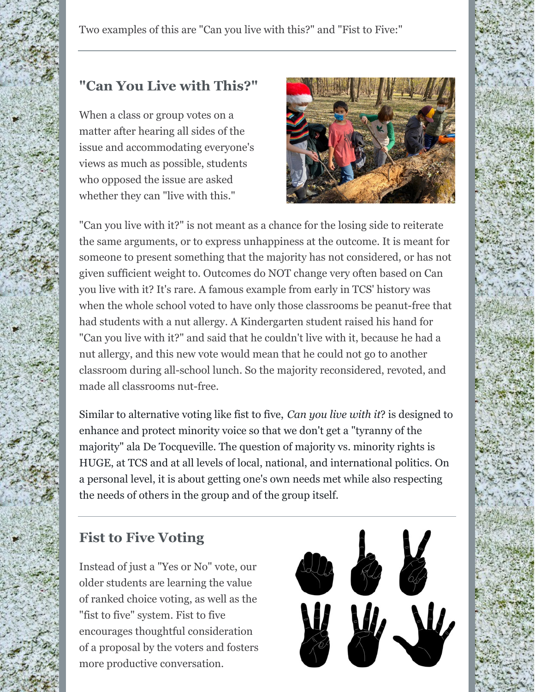Two examples of this are "Can you live with this?" and "Fist to Five:"

## **"Can You Live with This?"**

When a class or group votes on a matter after hearing all sides of the issue and accommodating everyone's views as much as possible, students who opposed the issue are asked whether they can "live with this."



"Can you live with it?" is not meant as a chance for the losing side to reiterate the same arguments, or to express unhappiness at the outcome. It is meant for someone to present something that the majority has not considered, or has not given sufficient weight to. Outcomes do NOT change very often based on Can you live with it? It's rare. A famous example from early in TCS' history was when the whole school voted to have only those classrooms be peanut-free that had students with a nut allergy. A Kindergarten student raised his hand for "Can you live with it?" and said that he couldn't live with it, because he had a nut allergy, and this new vote would mean that he could not go to another classroom during all-school lunch. So the majority reconsidered, revoted, and made all classrooms nut-free.

Similar to alternative voting like fist to five, *Can you live with it*? is designed to enhance and protect minority voice so that we don't get a "tyranny of the majority" ala De Tocqueville. The question of majority vs. minority rights is HUGE, at TCS and at all levels of local, national, and international politics. On a personal level, it is about getting one's own needs met while also respecting the needs of others in the group and of the group itself.

## **Fist to Five Voting**

Instead of just a "Yes or No" vote, our older students are learning the value of ranked choice voting, as well as the "fist to five" system. Fist to five encourages thoughtful consideration of a proposal by the voters and fosters more productive conversation.

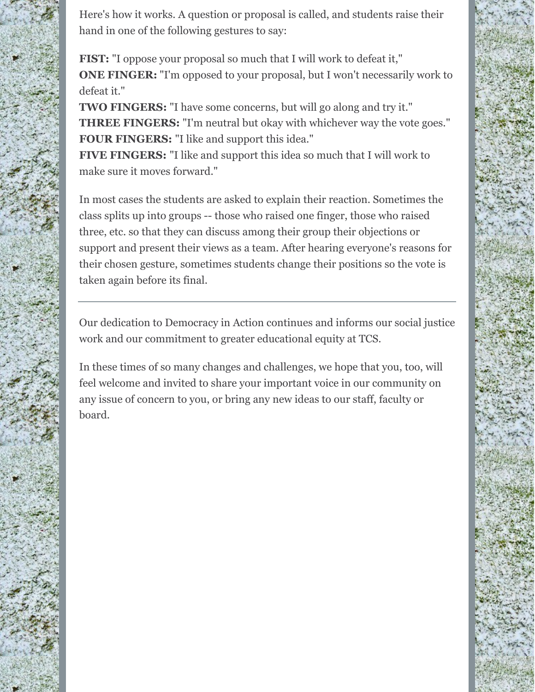Here's how it works. A question or proposal is called, and students raise their hand in one of the following gestures to say:

**FIST:** "I oppose your proposal so much that I will work to defeat it," **ONE FINGER:** "I'm opposed to your proposal, but I won't necessarily work to defeat it."

**TWO FINGERS:** "I have some concerns, but will go along and try it." **THREE FINGERS:** "I'm neutral but okay with whichever way the vote goes." **FOUR FINGERS:** "I like and support this idea."

**FIVE FINGERS:** "I like and support this idea so much that I will work to make sure it moves forward."

In most cases the students are asked to explain their reaction. Sometimes the class splits up into groups -- those who raised one finger, those who raised three, etc. so that they can discuss among their group their objections or support and present their views as a team. After hearing everyone's reasons for their chosen gesture, sometimes students change their positions so the vote is taken again before its final.

Our dedication to Democracy in Action continues and informs our social justice work and our commitment to greater educational equity at TCS.

In these times of so many changes and challenges, we hope that you, too, will feel welcome and invited to share your important voice in our community on any issue of concern to you, or bring any new ideas to our staff, faculty or board.